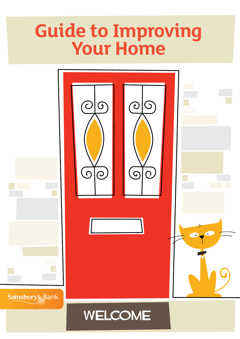# **Guide to Improving Your Home**

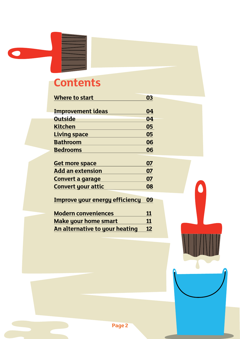## **Contents**

 $\bullet$ 

| Where to start                        | 03 |
|---------------------------------------|----|
| <b>Improvement ideas</b>              | 04 |
|                                       |    |
| <b>Outside</b>                        | 04 |
| <b>Kitchen</b>                        | 05 |
| <b>Living space</b>                   | 05 |
| Bathroom                              | 06 |
| <b>Bedrooms</b>                       | 06 |
|                                       |    |
| <b>Get more space</b>                 | 07 |
| <b>Add an extension</b>               | 07 |
| Convert a garage                      | 07 |
| <b>Convert your attic</b>             | 08 |
|                                       |    |
| <b>Improve your energy efficiency</b> | 09 |
| Modern conveniences                   | 11 |

| <b>INDUCTIL CONVENIENCES</b>   | ---       |
|--------------------------------|-----------|
| <b>Make your home smart</b>    | <b>11</b> |
| An alternative to your heating | 12        |

 $\epsilon$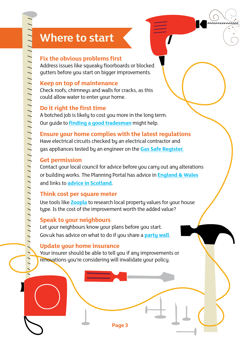## **Where to start**

#### **Fix the obvious problems first**

Address issues like squeaky floorboards or blocked gutters before you start on bigger improvements.

#### **Keep on top of maintenance**

Check roofs, chimneys and walls for cracks, as this could allow water to enter your home.

#### **Do it right the first time**

A botched job is likely to cost you more in the long term. Our guide to **finding a good tradesman** might help.

**Ensure your home complies with the latest regulations** Have electrical circuits checked by an electrical contractor and gas appliances tested by an engineer on the **Gas Safe Register.**

#### **Get permission**

Contact your local council for advice before you carry out any alterations or building works. The Planning Portal has advice in **England & Wales** and links to **advice in Scotland**.

#### **Think cost per square meter**

Use tools like **Zoopla** to research local property values for your house type. Is the cost of the improvement worth the added value?

#### **Speak to your neighbours**

Let your neighbours know your plans before you start. Gov.uk has advice on what to do if you share a **party wall**.

#### **Update your home insurance**

Your insurer should be able to tell you if any improvements or renovations you're considering will invalidate your policy.

**Page 3**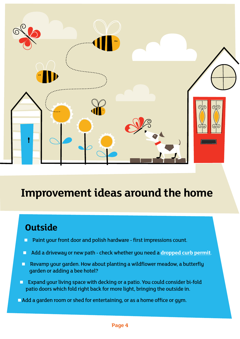

## **Improvement ideas around the home**

## **Outside**

- **Paint your front door and polish hardware first impressions count.**
- Add a driveway or new path check whether you need a **dropped curb permit**.
- **Revamp your garden. How about planting a wildflower meadow, a butterfly** garden or adding a bee hotel?
- **EXPAND IS EXPANDED EXPANDING SPACE WITH DECKING OF A PATIOL YOU COULD CONSIDER BI-fold** patio doors which fold right back for more light, bringing the outside in.
- Add a garden room or shed for entertaining, or as a home office or gym.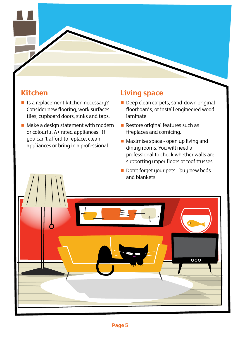### **Kitchen**

- **I** Is a replacement kitchen necessary? Consider new flooring, work surfaces, tiles, cupboard doors, sinks and taps.
- Make a design statement with modern or colourful A+ rated appliances. If you can't afford to replace, clean appliances or bring in a professional.

### **Living space**

- Deep clean carpets, sand-down original floorboards, or install engineered wood laminate.
- Restore original features such as fireplaces and cornicing.
- **Maximise space open up living and** dining rooms. You will need a professional to check whether walls are supporting upper floors or roof trusses.
- Don't forget your pets buy new beds and blankets.

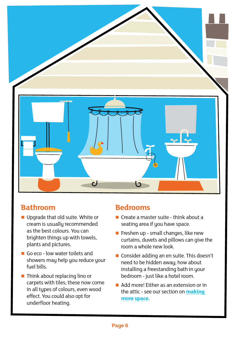

### **Bathroom**

- **Upgrade that old suite. White or** cream is usually recommended as the best colours. You can brighten things up with towels, plants and pictures.
- Go eco low water toilets and showers may help you reduce your fuel bills.
- $\blacksquare$  Think about replacing lino or carpets with tiles; these now come in all types of colours, even wood effect. You could also opt for underfloor heating.

### **Bedrooms**

- Create a master suite think about a seating area if you have space.
- Freshen up small changes, like new curtains, duvets and pillows can give the room a whole new look.
- Consider adding an en suite. This doesn't need to be hidden away; how about installing a freestanding bath in your bedroom - just like a hotel room.
- Add more! Either as an extension or in the attic - see our section on **making more space**.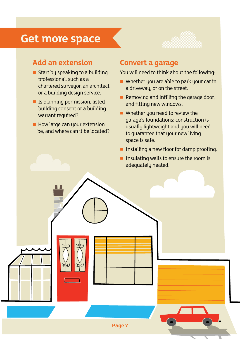## **Get more space**



### **Add an extension**

- $\blacksquare$  Start by speaking to a building professional, such as a chartered surveyor, an architect or a building design service.
- **If** Is planning permission, listed building consent or a building warrant required?
- How large can your extension be, and where can it be located?

(ດ

### **Convert a garage**

You will need to think about the following:

- Whether you are able to park your car in a driveway, or on the street.
- $\blacksquare$  Removing and infilling the garage door, and fitting new windows.
- Whether you need to review the garage's foundations; construction is usually lightweight and you will need to guarantee that your new living space is safe.
- **Installing a new floor for damp proofing.**
- **Insulating walls to ensure the room is** adequately heated.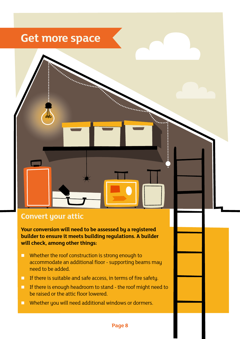## **Get more space**

### **Convert your attic**

**Your conversion will need to be assessed by a registered builder to ensure it meets building regulations. A builder will check, among other things:**

- **Whether the roof construction is strong enough to** accommodate an additional floor - supporting beams may need to be added.
- **If there is suitable and safe access, in terms of fire safety.**
- If there is enough headroom to stand the roof might need to be raised or the attic floor lowered.
- **Now Whether you will need additional windows or dormers.**

#### **Page 8**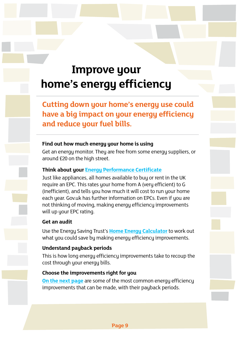## **Improve your home's energy efficiency**

**Cutting down your home's energy use could have a big impact on your energy efficiency and reduce your fuel bills.**

#### **Find out how much energy your home is using**

Get an energy monitor. They are free from some energy suppliers, or around £20 on the high street.

#### **Think about your Energy Performance Certificate**

Just like appliances, all homes available to buy or rent in the UK require an EPC. This rates your home from A (very efficient) to G (inefficient), and tells you how much it will cost to run your home each year. Gov.uk has further information on EPCs. Even if you are not thinking of moving, making energy efficiency improvements will up your EPC rating.

#### **Get an audit**

Use the Energy Saving Trust's **Home Energy Calculator** to work out what you could save by making energy efficiency improvements.

#### **Understand payback periods**

This is how long energy efficiency improvements take to recoup the cost through your energy bills.

#### **Choose the improvements right for you**

**On the next page** are some of the most common energy efficiency improvements that can be made, with their payback periods.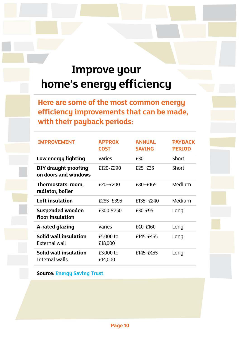## **Improve your home's energy efficiency**

**Here are some of the most common energy efficiency improvements that can be made, with their payback periods:**

| <b>IMPROVEMENT</b>                                  | <b>APPROX</b><br><b>COST</b> | <b>ANNUAL</b><br><b>SAVING</b> | <b>PAYBACK</b><br><b>PERIOD</b> |
|-----------------------------------------------------|------------------------------|--------------------------------|---------------------------------|
| Low energy lighting                                 | <b>Varies</b>                | £30                            | Short                           |
| <b>DIY draught proofing</b><br>on doors and windows | £120-£290                    | $£25 - £35$                    | Short                           |
| Thermostats: room,<br>radiator, boiler              | $£20-F200$                   | £80-£165                       | Medium                          |
| Loft insulation                                     | £285-£395                    | £135-£240                      | Medium                          |
| <b>Suspended wooden</b><br>floor insulation         | £300-£750                    | £30-£95                        | Long                            |
| A-rated glazing                                     | Varies                       | £40-£160                       | Long                            |
| Solid wall insulation<br>External wall              | £5,000 to<br>£18,000         | £145-£455                      | Long                            |
| Solid wall insulation<br>Internal walls             | £3,000 to<br>£14,000         | £145-£455                      | Long                            |

**Source: Energy Saving Trust**

**Page 10**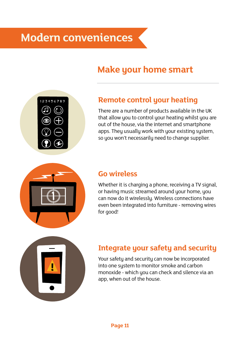## **Make your home smart**



## **Remote control your heating**

There are a number of products available in the UK that allow you to control your heating whilst you are out of the house, via the internet and smartphone apps. They usually work with your existing system, so you won't necessarily need to change supplier.



### **Go wireless**

Whether it is charging a phone, receiving a TV signal, or having music streamed around your home, you can now do it wirelessly. Wireless connections have even been integrated into furniture - removing wires for good!



## **Integrate your safety and security**

Your safety and security can now be incorporated into one system to monitor smoke and carbon monoxide - which you can check and silence via an app, when out of the house.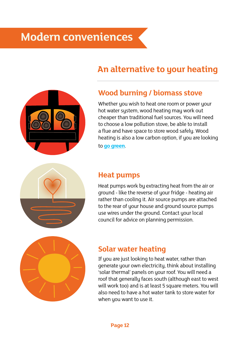## **Modern conveniences**

## **An alternative to your heating**



### **Wood burning / biomass stove**

Whether you wish to heat one room or power your hot water system, wood heating may work out cheaper than traditional fuel sources. You will need to choose a low pollution stove, be able to install a flue and have space to store wood safely. Wood heating is also a low carbon option, if you are looking to **go green**.

### **Heat pumps**

Heat pumps work by extracting heat from the air or ground - like the reverse of your fridge - heating air rather than cooling it. Air source pumps are attached to the rear of your house and ground source pumps use wires under the ground. Contact your local council for advice on planning permission.



### **Solar water heating**

If you are just looking to heat water, rather than generate your own electricity, think about installing 'solar thermal' panels on your roof. You will need a roof that generally faces south (although east to west will work too) and is at least 5 square meters. You will also need to have a hot water tank to store water for when you want to use it.